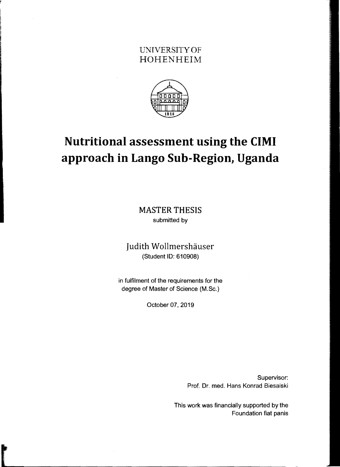## UNIVERSITY OF HOHENHEIM



## **Nutritional assessment using the** CIMI **approach in Lango Sub-Region, Uganda**

MASTER THESIS submitted by

Judith Wollmershäuser (Student 10: 610908)

in fulfilment of the requirements for the degree of Master of Science (M.Sc.)

October 07, 2019

Supervisor: Prof. Or. med. Hans Konrad Biesalski

This work was financially supported by the Foundation fiat panis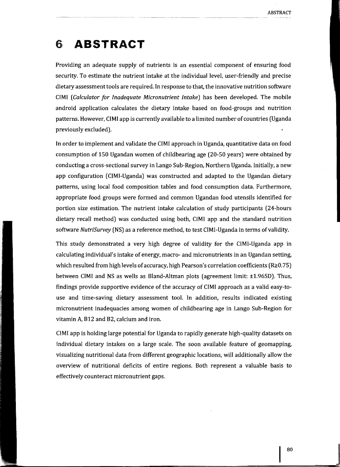## 6 **ABSTRACT**

Providing an adequate supply of nutrients is an essential component of ensuring food security. To estimate the nutrient intake at the individual level, user-friendly and precise dietary assessment tools are required. In response to that, the innovative nutrition software CIMI *(Calculator for Inadequate Micronutrient Intake)* has been developed. The mobile android application calculates the dietary intake based on food-groups and nutrition patterns. However, CIMI app is currently available to a limited number of countries (Uganda previously excluded).

In order to implement and validate the CIMI approach in Uganda, quantitative data on food consumption of 150 Ugandan women of childbearing age (20-50 years) were obtained by conducting a cross-sectional survey in Lango Sub-Region, Northern Uganda. Initially, a new app configuration (CIMI-Uganda) was constructed and adapted to the Ugandan dietary patterns, using local food composition tables and food consumption data. Furthermore, appropriate food groups were formed and common Ugandan food utensils identified for portion size estimation. The nutrient intake calculation of study participants (24-hours dietary recall method) was conducted using both, CIMI app and the standard nutrition software *NutriSurvey* (NS) as a reference method, to test ClMI-Uganda in terms of validity.

This study demonstrated a very high degree of validity for the CIMI-Uganda app in calculating individual's intake of energy, macro- and micronutrients in an Ugandan setting, which resulted from high levels of accuracy, high Pearson's correlation coefficients ( $R\geq0.75$ ) between CIMI and NS as wells as Bland-Altman plots (agreement limit: ±1.96SD). Thus, findings provide supportive evidence of the accuracy of CIMI approach as a valid easy-touse and time-saving dietary assessment tool. **In** addition, results indicated existing micronutrient inadequacies among women of childbearing age in Lango Sub-Region for vitamin A, B12 and B2, calcium and iron.

CIMI app is holding large potential for Uganda to rapidly generate high-quality datasets on individual dietary intakes on a large scale. The soon available feature of geomapping, visualizing nutritional data from different geographic locations, will additionally allow the overview of nutritional deficits of entire regions. Both represent a valuable basis to effectively counteract micronutrient gaps.